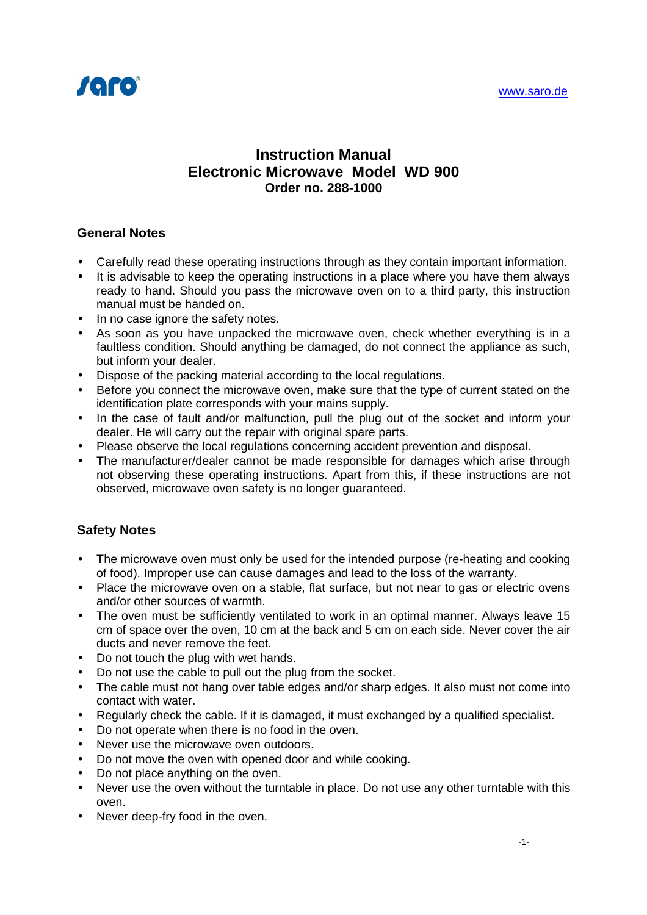

# **Instruction Manual Electronic Microwave Model WD 900 Order no. 288-1000**

## **General Notes**

- Carefully read these operating instructions through as they contain important information.
- It is advisable to keep the operating instructions in a place where you have them always ready to hand. Should you pass the microwave oven on to a third party, this instruction manual must be handed on.
- In no case ignore the safety notes.
- As soon as you have unpacked the microwave oven, check whether everything is in a faultless condition. Should anything be damaged, do not connect the appliance as such, but inform your dealer.
- Dispose of the packing material according to the local regulations.
- Before you connect the microwave oven, make sure that the type of current stated on the identification plate corresponds with your mains supply.
- In the case of fault and/or malfunction, pull the plug out of the socket and inform your dealer. He will carry out the repair with original spare parts.
- Please observe the local regulations concerning accident prevention and disposal.
- The manufacturer/dealer cannot be made responsible for damages which arise through not observing these operating instructions. Apart from this, if these instructions are not observed, microwave oven safety is no longer guaranteed.

## **Safety Notes**

- The microwave oven must only be used for the intended purpose (re-heating and cooking of food). Improper use can cause damages and lead to the loss of the warranty.
- Place the microwave oven on a stable, flat surface, but not near to gas or electric ovens and/or other sources of warmth.
- The oven must be sufficiently ventilated to work in an optimal manner. Always leave 15 cm of space over the oven, 10 cm at the back and 5 cm on each side. Never cover the air ducts and never remove the feet.
- Do not touch the plug with wet hands.
- Do not use the cable to pull out the plug from the socket.
- The cable must not hang over table edges and/or sharp edges. It also must not come into contact with water.
- Regularly check the cable. If it is damaged, it must exchanged by a qualified specialist.
- Do not operate when there is no food in the oven.
- Never use the microwave oven outdoors.
- Do not move the oven with opened door and while cooking.
- Do not place anything on the oven.
- Never use the oven without the turntable in place. Do not use any other turntable with this oven.
- Never deep-fry food in the oven.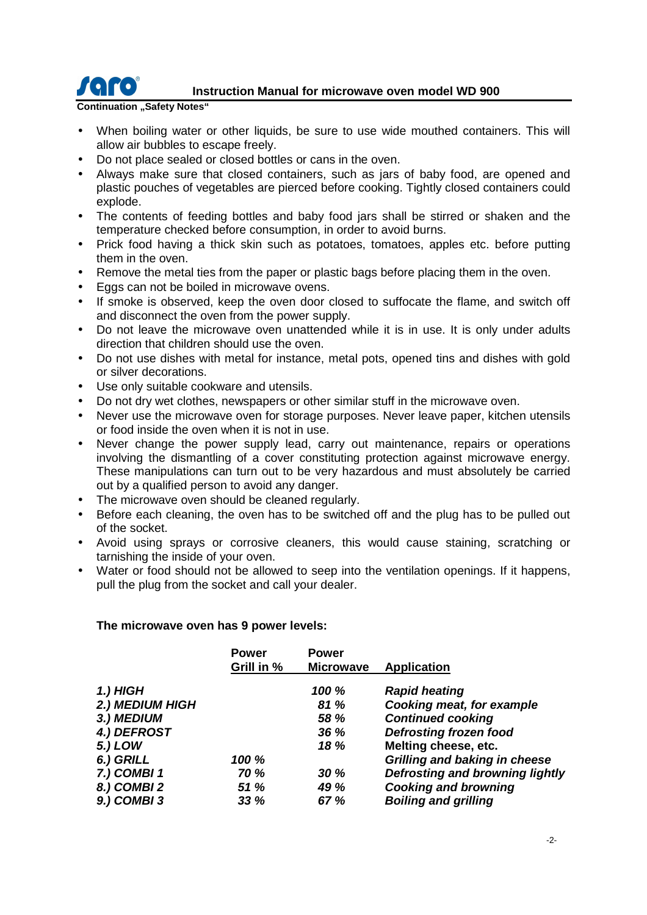

# **IGHTO** Instruction Manual for microwave oven model WD 900

#### **Continuation "Safety Notes"**

- When boiling water or other liquids, be sure to use wide mouthed containers. This will allow air bubbles to escape freely.
- Do not place sealed or closed bottles or cans in the oven.
- Always make sure that closed containers, such as jars of baby food, are opened and plastic pouches of vegetables are pierced before cooking. Tightly closed containers could explode.
- The contents of feeding bottles and baby food jars shall be stirred or shaken and the temperature checked before consumption, in order to avoid burns.
- Prick food having a thick skin such as potatoes, tomatoes, apples etc. before putting them in the oven.
- Remove the metal ties from the paper or plastic bags before placing them in the oven.
- Eggs can not be boiled in microwave ovens.
- If smoke is observed, keep the oven door closed to suffocate the flame, and switch off and disconnect the oven from the power supply.
- Do not leave the microwave oven unattended while it is in use. It is only under adults direction that children should use the oven.
- Do not use dishes with metal for instance, metal pots, opened tins and dishes with gold or silver decorations.
- Use only suitable cookware and utensils.
- Do not dry wet clothes, newspapers or other similar stuff in the microwave oven.
- Never use the microwave oven for storage purposes. Never leave paper, kitchen utensils or food inside the oven when it is not in use.
- Never change the power supply lead, carry out maintenance, repairs or operations involving the dismantling of a cover constituting protection against microwave energy. These manipulations can turn out to be very hazardous and must absolutely be carried out by a qualified person to avoid any danger.
- The microwave oven should be cleaned regularly.
- Before each cleaning, the oven has to be switched off and the plug has to be pulled out of the socket.
- Avoid using sprays or corrosive cleaners, this would cause staining, scratching or tarnishing the inside of your oven.
- Water or food should not be allowed to seep into the ventilation openings. If it happens, pull the plug from the socket and call your dealer.

#### **The microwave oven has 9 power levels:**

|                 | <b>Power</b> | <b>Power</b>     |                                        |
|-----------------|--------------|------------------|----------------------------------------|
|                 | Grill in %   | <b>Microwave</b> | Application                            |
| 1.) HIGH        |              | 100 %            | <b>Rapid heating</b>                   |
| 2.) MEDIUM HIGH |              | 81 %             | <b>Cooking meat, for example</b>       |
| 3.) MEDIUM      |              | 58 %             | <b>Continued cooking</b>               |
| 4.) DEFROST     |              | 36 %             | <b>Defrosting frozen food</b>          |
| 5.) LOW         |              | 18 %             | Melting cheese, etc.                   |
| 6.) GRILL       | 100 %        |                  | Grilling and baking in cheese          |
| 7.) COMBI 1     | <b>70 %</b>  | 30%              | <b>Defrosting and browning lightly</b> |
| 8.) COMBI 2     | <b>51 %</b>  | 49 %             | <b>Cooking and browning</b>            |
| 9.) COMBI 3     | 33%          | 67 %             | <b>Boiling and grilling</b>            |
|                 |              |                  |                                        |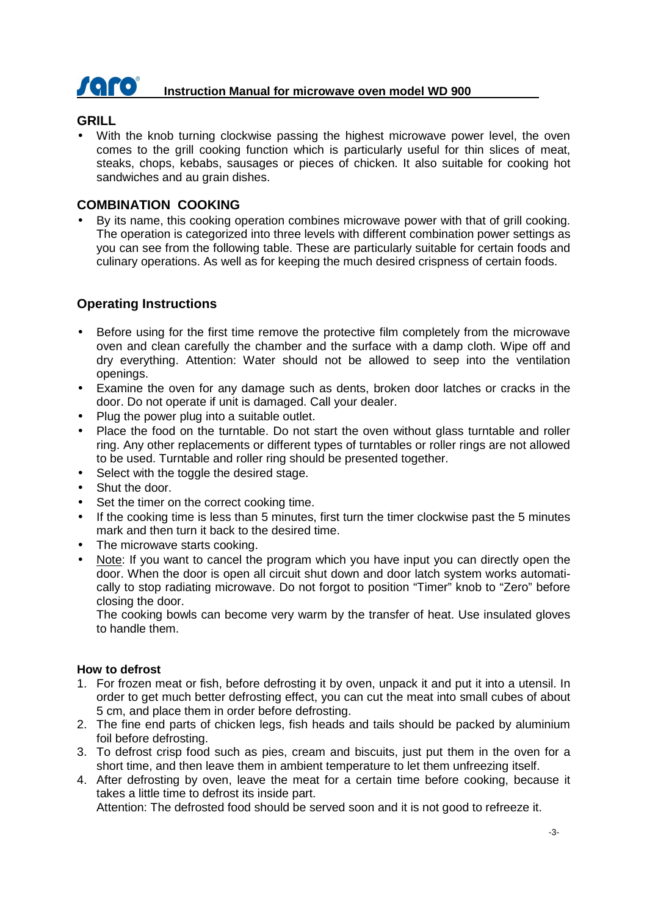

# **IGFO** Instruction Manual for microwave oven model WD 900

#### **GRILL**

• With the knob turning clockwise passing the highest microwave power level, the oven comes to the grill cooking function which is particularly useful for thin slices of meat, steaks, chops, kebabs, sausages or pieces of chicken. It also suitable for cooking hot sandwiches and au grain dishes.

#### **COMBINATION COOKING**

• By its name, this cooking operation combines microwave power with that of grill cooking. The operation is categorized into three levels with different combination power settings as you can see from the following table. These are particularly suitable for certain foods and culinary operations. As well as for keeping the much desired crispness of certain foods.

## **Operating Instructions**

- Before using for the first time remove the protective film completely from the microwave oven and clean carefully the chamber and the surface with a damp cloth. Wipe off and dry everything. Attention: Water should not be allowed to seep into the ventilation openings.
- Examine the oven for any damage such as dents, broken door latches or cracks in the door. Do not operate if unit is damaged. Call your dealer.
- Plug the power plug into a suitable outlet.
- Place the food on the turntable. Do not start the oven without glass turntable and roller ring. Any other replacements or different types of turntables or roller rings are not allowed to be used. Turntable and roller ring should be presented together.
- Select with the toggle the desired stage.
- Shut the door.
- Set the timer on the correct cooking time.
- If the cooking time is less than 5 minutes, first turn the timer clockwise past the 5 minutes mark and then turn it back to the desired time.
- The microwave starts cooking.
- Note: If you want to cancel the program which you have input you can directly open the door. When the door is open all circuit shut down and door latch system works automatically to stop radiating microwave. Do not forgot to position "Timer" knob to "Zero" before closing the door.

The cooking bowls can become very warm by the transfer of heat. Use insulated gloves to handle them.

#### **How to defrost**

- 1. For frozen meat or fish, before defrosting it by oven, unpack it and put it into a utensil. In order to get much better defrosting effect, you can cut the meat into small cubes of about 5 cm, and place them in order before defrosting.
- 2. The fine end parts of chicken legs, fish heads and tails should be packed by aluminium foil before defrosting.
- 3. To defrost crisp food such as pies, cream and biscuits, just put them in the oven for a short time, and then leave them in ambient temperature to let them unfreezing itself.
- 4. After defrosting by oven, leave the meat for a certain time before cooking, because it takes a little time to defrost its inside part.

Attention: The defrosted food should be served soon and it is not good to refreeze it.